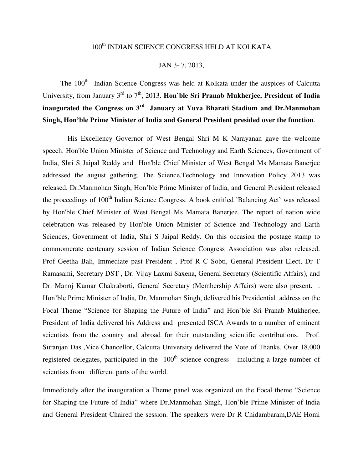# 100<sup>th</sup> INDIAN SCIENCE CONGRESS HELD AT KOLKATA

#### JAN 3- 7, 2013,

The 100<sup>th</sup> Indian Science Congress was held at Kolkata under the auspices of Calcutta University, from January 3<sup>rd</sup> to 7<sup>th</sup>, 2013. **Hon** ble Sri Pranab Mukherjee, President of India **inaugurated the Congress on 3rd January at Yuva Bharati Stadium and Dr.Manmohan Singh, Hon'ble Prime Minister of India and General President presided over the function**.

 His Excellency Governor of West Bengal Shri M K Narayanan gave the welcome speech. Hon'ble Union Minister of Science and Technology and Earth Sciences, Government of India, Shri S Jaipal Reddy and Hon'ble Chief Minister of West Bengal Ms Mamata Banerjee addressed the august gathering. The Science,Technology and Innovation Policy 2013 was released. Dr.Manmohan Singh, Hon'ble Prime Minister of India, and General President released the proceedings of 100<sup>th</sup> Indian Science Congress. A book entitled `Balancing Act` was released by Hon'ble Chief Minister of West Bengal Ms Mamata Banerjee. The report of nation wide celebration was released by Hon'ble Union Minister of Science and Technology and Earth Sciences, Government of India, Shri S Jaipal Reddy. On this occasion the postage stamp to commomerate centenary session of Indian Science Congress Association was also released. Prof Geetha Bali, Immediate past President , Prof R C Sobti, General President Elect, Dr T Ramasami, Secretary DST , Dr. Vijay Laxmi Saxena, General Secretary (Scientific Affairs), and Dr. Manoj Kumar Chakraborti, General Secretary (Membership Affairs) were also present. . Hon'ble Prime Minister of India, Dr. Manmohan Singh, delivered his Presidential address on the Focal Theme "Science for Shaping the Future of India" and Hon`ble Sri Pranab Mukherjee, President of India delivered his Address and presented ISCA Awards to a number of eminent scientists from the country and abroad for their outstanding scientific contributions. Prof. Suranjan Das ,Vice Chancellor, Calcutta University delivered the Vote of Thanks. Over 18,000 registered delegates, participated in the  $100<sup>th</sup>$  science congress including a large number of scientists from different parts of the world.

Immediately after the inauguration a Theme panel was organized on the Focal theme "Science for Shaping the Future of India" where Dr.Manmohan Singh, Hon'ble Prime Minister of India and General President Chaired the session. The speakers were Dr R Chidambaram,DAE Homi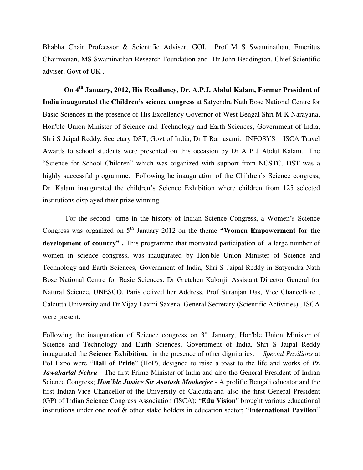Bhabha Chair Profeessor & Scientific Adviser, GOI, Prof M S Swaminathan, Emeritus Chairmanan, MS Swaminathan Research Foundation and Dr John Beddington, Chief Scientific adviser, Govt of UK .

**On 4th January, 2012, His Excellency, Dr. A.P.J. Abdul Kalam, Former President of India inaugurated the Children's science congress** at Satyendra Nath Bose National Centre for Basic Sciences in the presence of His Excellency Governor of West Bengal Shri M K Narayana, Hon'ble Union Minister of Science and Technology and Earth Sciences, Government of India, Shri S Jaipal Reddy, Secretary DST, Govt of India, Dr T Ramasami. INFOSYS – ISCA Travel Awards to school students were presented on this occasion by Dr A P J Abdul Kalam. The "Science for School Children" which was organized with support from NCSTC, DST was a highly successful programme. Following he inauguration of the Children's Science congress, Dr. Kalam inaugurated the children's Science Exhibition where children from 125 selected institutions displayed their prize winning

 For the second time in the history of Indian Science Congress, a Women's Science Congress was organized on 5<sup>th</sup> January 2012 on the theme **"Women Empowerment for the development of country" .** This programme that motivated participation of a large number of women in science congress, was inaugurated by Hon'ble Union Minister of Science and Technology and Earth Sciences, Government of India, Shri S Jaipal Reddy in Satyendra Nath Bose National Centre for Basic Sciences. Dr Gretchen Kalonji, Assistant Director General for Natural Science, UNESCO, Paris delived her Address. Prof Suranjan Das, Vice Chancellore , Calcutta University and Dr Vijay Laxmi Saxena, General Secretary (Scientific Activities) , ISCA were present.

Following the inauguration of Science congress on  $3<sup>rd</sup>$  January, Hon'ble Union Minister of Science and Technology and Earth Sciences, Government of India, Shri S Jaipal Reddy inaugurated the S**cience Exhibition.** in the presence of other dignitaries. *Special Pavilions* at PoI Expo were "**Hall of Pride**" (HoP), designed to raise a toast to the life and works of *Pt.*  Jawaharlal Nehru - The first Prime Minister of India and also the General President of Indian Science Congress; *Hon'ble Justice Sir Asutosh Mookerjee* - A prolific [Bengali](http://en.wikipedia.org/wiki/Bengali_people) educator and the first Indian Vice Chancellor of the University of Calcutta and also the first General President (GP) of Indian Science Congress Association (ISCA); "**Edu Vision**" brought various educational institutions under one roof & other stake holders in education sector; "**International Pavilion**"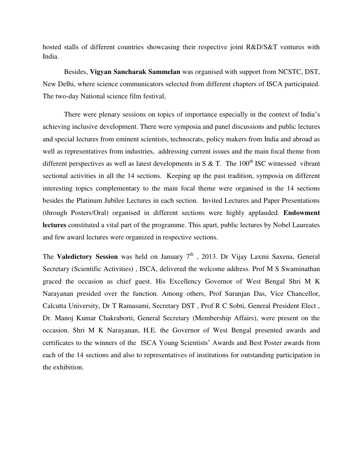hosted stalls of different countries showcasing their respective joint R&D/S&T ventures with India.

Besides, **Vigyan Sancharak Sammelan** was organised with support from NCSTC, DST, New Delhi, where science communicators selected from different chapters of ISCA participated. The two-day National science film festival,

There were plenary sessions on topics of importance especially in the context of India's achieving inclusive development. There were symposia and panel discussions and public lectures and special lectures from eminent scientists, technocrats, policy makers from India and abroad as well as representatives from industries, addressing current issues and the main focal theme from different perspectives as well as latest developments in S  $\&$  T. The 100<sup>th</sup> ISC witnessed vibrant sectional activities in all the 14 sections. Keeping up the past tradition, symposia on different interesting topics complementary to the main focal theme were organised in the 14 sections besides the Platinum Jubilee Lectures in each section. Invited Lectures and Paper Presentations (through Posters/Oral) organised in different sections were highly applauded. **Endowment lectures** constituted a vital part of the programme. This apart, public lectures by Nobel Laureates and few award lectures were organized in respective sections.

The **Valedictory Session** was held on January  $7<sup>th</sup>$ , 2013. Dr Vijay Laxmi Saxena, General Secretary (Scientific Activities) , ISCA, delivered the welcome address. Prof M S Swaminathan graced the occasion as chief guest. His Excellency Governor of West Bengal Shri M K Narayanan presided over the function. Among others, Prof Suranjan Das, Vice Chancellor, Calcutta University, Dr T Ramasami, Secretary DST , Prof R C Sobti, General President Elect , Dr. Manoj Kumar Chakraborti, General Secretary (Membership Affairs), were present on the occasion. Shri M K Narayanan, H.E. the Governor of West Bengal presented awards and certificates to the winners of the ISCA Young Scientists' Awards and Best Poster awards from each of the 14 sections and also to representatives of institutions for outstanding participation in the exhibition.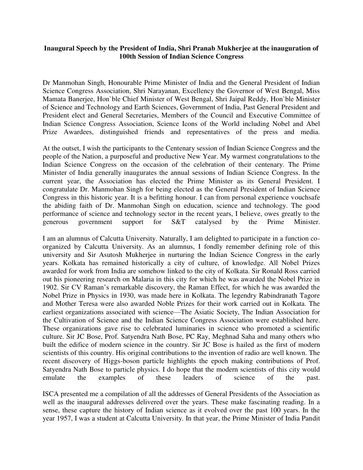## **Inaugural Speech by the President of India, Shri Pranab Mukherjee at the inauguration of 100th Session of Indian Science Congress**

Dr Manmohan Singh, Honourable Prime Minister of India and the General President of Indian Science Congress Association, Shri Narayanan, Excellency the Governor of West Bengal, Miss Mamata Banerjee, Hon`ble Chief Minister of West Bengal, Shri Jaipal Reddy, Hon`ble Minister of Science and Technology and Earth Sciences, Government of India, Past General President and President elect and General Secretaries, Members of the Council and Executive Committee of Indian Science Congress Association, Science Icons of the World including Nobel and Abel Prize Awardees, distinguished friends and representatives of the press and media.

At the outset, I wish the participants to the Centenary session of Indian Science Congress and the people of the Nation, a purposeful and productive New Year. My warmest congratulations to the Indian Science Congress on the occasion of the celebration of their centenary. The Prime Minister of India generally inaugurates the annual sessions of Indian Science Congress. In the current year, the Association has elected the Prime Minister as its General President. I congratulate Dr. Manmohan Singh for being elected as the General President of Indian Science Congress in this historic year. It is a befitting honour. I can from personal experience vouchsafe the abiding faith of Dr. Manmohan Singh on education, science and technology. The good performance of science and technology sector in the recent years, I believe, owes greatly to the generous government support for S&T catalysed by the Prime Minister.

I am an alumnus of Calcutta University. Naturally, I am delighted to participate in a function coorganized by Calcutta University. As an alumnus, I fondly remember defining role of this university and Sir Asutosh Mukherjee in nurturing the Indian Science Congress in the early years. Kolkata has remained historically a city of culture, of knowledge. All Nobel Prizes awarded for work from India are somehow linked to the city of Kolkata. Sir Ronald Ross carried out his pioneering research on Malaria in this city for which he was awarded the Nobel Prize in 1902. Sir CV Raman's remarkable discovery, the Raman Effect, for which he was awarded the Nobel Prize in Physics in 1930, was made here in Kolkata. The legendry Rabindranath Tagore and Mother Teresa were also awarded Noble Prizes for their work carried out in Kolkata. The earliest organizations associated with science—The Asiatic Society, The Indian Association for the Cultivation of Science and the Indian Science Congress Association were established here. These organizations gave rise to celebrated luminaries in science who promoted a scientific culture. Sir JC Bose, Prof. Satyendra Nath Bose, PC Ray, Meghnad Saha and many others who built the edifice of modern science in the country. Sir JC Bose is hailed as the first of modern scientists of this country. His original contributions to the invention of radio are well known. The recent discovery of Higgs-boson particle highlights the epoch making contributions of Prof. Satyendra Nath Bose to particle physics. I do hope that the modern scientists of this city would emulate the examples of these leaders of science of the past.

ISCA presented me a compilation of all the addresses of General Presidents of the Association as well as the inaugural addresses delivered over the years. These make fascinating reading. In a sense, these capture the history of Indian science as it evolved over the past 100 years. In the year 1957, I was a student at Calcutta University. In that year, the Prime Minister of India Pandit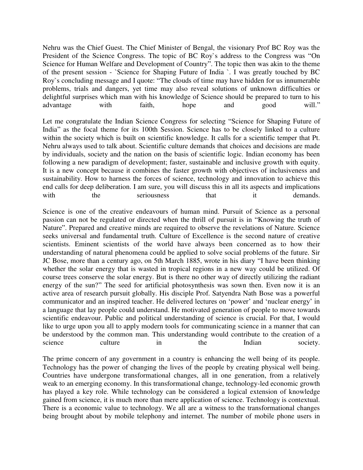Nehru was the Chief Guest. The Chief Minister of Bengal, the visionary Prof BC Roy was the President of the Science Congress. The topic of BC Roy`s address to the Congress was "On Science for Human Welfare and Development of Country". The topic then was akin to the theme of the present session - `Science for Shaping Future of India `. I was greatly touched by BC Roy`s concluding message and I quote: "The clouds of time may have hidden for us innumerable problems, trials and dangers, yet time may also reveal solutions of unknown difficulties or delightful surprises which man with his knowledge of Science should be prepared to turn to his advantage with faith, hope and good will."

Let me congratulate the Indian Science Congress for selecting "Science for Shaping Future of India" as the focal theme for its 100th Session. Science has to be closely linked to a culture within the society which is built on scientific knowledge. It calls for a scientific temper that Pt. Nehru always used to talk about. Scientific culture demands that choices and decisions are made by individuals, society and the nation on the basis of scientific logic. Indian economy has been following a new paradigm of development; faster, sustainable and inclusive growth with equity. It is a new concept because it combines the faster growth with objectives of inclusiveness and sustainability. How to harness the forces of science, technology and innovation to achieve this end calls for deep deliberation. I am sure, you will discuss this in all its aspects and implications with the seriousness that it demands.

Science is one of the creative endeavours of human mind. Pursuit of Science as a personal passion can not be regulated or directed when the thrill of pursuit is in "Knowing the truth of Nature". Prepared and creative minds are required to observe the revelations of Nature. Science seeks universal and fundamental truth. Culture of Excellence is the second nature of creative scientists. Eminent scientists of the world have always been concerned as to how their understanding of natural phenomena could be applied to solve social problems of the future. Sir JC Bose, more than a century ago, on 5th March 1885, wrote in his diary "I have been thinking whether the solar energy that is wasted in tropical regions in a new way could be utilized. Of course trees conserve the solar energy. But is there no other way of directly utilizing the radiant energy of the sun?" The seed for artificial photosynthesis was sown then. Even now it is an active area of research pursuit globally. His disciple Prof. Satyendra Nath Bose was a powerful communicator and an inspired teacher. He delivered lectures on 'power' and 'nuclear energy' in a language that lay people could understand. He motivated generation of people to move towards scientific endeavour. Public and political understanding of science is crucial. For that, I would like to urge upon you all to apply modern tools for communicating science in a manner that can be understood by the common man. This understanding would contribute to the creation of a science culture in the Indian society.

The prime concern of any government in a country is enhancing the well being of its people. Technology has the power of changing the lives of the people by creating physical well being. Countries have undergone transformational changes, all in one generation, from a relatively weak to an emerging economy. In this transformational change, technology-led economic growth has played a key role. While technology can be considered a logical extension of knowledge gained from science, it is much more than mere application of science. Technology is contextual. There is a economic value to technology. We all are a witness to the transformational changes being brought about by mobile telephony and internet. The number of mobile phone users in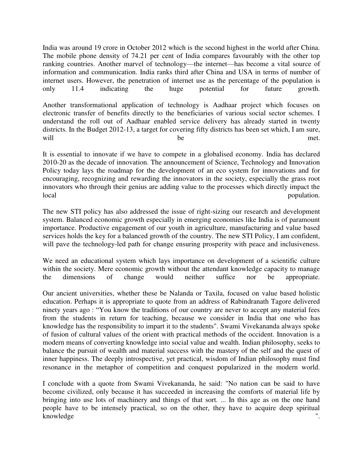India was around 19 crore in October 2012 which is the second highest in the world after China. The mobile phone density of 74.21 per cent of India compares favourably with the other top ranking countries. Another marvel of technology—the internet—has become a vital source of information and communication. India ranks third after China and USA in terms of number of internet users. However, the penetration of internet use as the percentage of the population is only 11.4 indicating the huge potential for future growth.

Another transformational application of technology is Aadhaar project which focuses on electronic transfer of benefits directly to the beneficiaries of various social sector schemes. I understand the roll out of Aadhaar enabled service delivery has already started in twenty districts. In the Budget 2012-13, a target for covering fifty districts has been set which, I am sure, will be met.

It is essential to innovate if we have to compete in a globalised economy. India has declared 2010-20 as the decade of innovation. The announcement of Science, Technology and Innovation Policy today lays the roadmap for the development of an eco system for innovations and for encouraging, recognizing and rewarding the innovators in the society, especially the grass root innovators who through their genius are adding value to the processes which directly impact the local population.

The new STI policy has also addressed the issue of right-sizing our research and development system. Balanced economic growth especially in emerging economies like India is of paramount importance. Productive engagement of our youth in agriculture, manufacturing and value based services holds the key for a balanced growth of the country. The new STI Policy, I am confident, will pave the technology-led path for change ensuring prosperity with peace and inclusiveness.

We need an educational system which lays importance on development of a scientific culture within the society. Mere economic growth without the attendant knowledge capacity to manage the dimensions of change would neither suffice nor be appropriate.

Our ancient universities, whether these be Nalanda or Taxila, focused on value based holistic education. Perhaps it is appropriate to quote from an address of Rabindranath Tagore delivered ninety years ago : "You know the traditions of our country are never to accept any material fees from the students in return for teaching, because we consider in India that one who has knowledge has the responsibility to impart it to the students". Swami Vivekananda always spoke of fusion of cultural values of the orient with practical methods of the occident. Innovation is a modern means of converting knowledge into social value and wealth. Indian philosophy, seeks to balance the pursuit of wealth and material success with the mastery of the self and the quest of inner happiness. The deeply introspective, yet practical, wisdom of Indian philosophy must find resonance in the metaphor of competition and conquest popularized in the modern world.

I conclude with a quote from Swami Vivekananda, he said: "No nation can be said to have become civilized, only because it has succeeded in increasing the comforts of material life by bringing into use lots of machinery and things of that sort. ... In this age as on the one hand people have to be intensely practical, so on the other, they have to acquire deep spiritual knowledge ".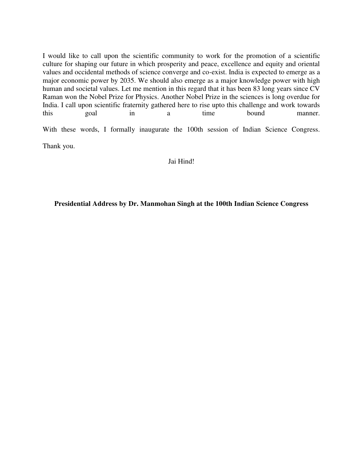I would like to call upon the scientific community to work for the promotion of a scientific culture for shaping our future in which prosperity and peace, excellence and equity and oriental values and occidental methods of science converge and co-exist. India is expected to emerge as a major economic power by 2035. We should also emerge as a major knowledge power with high human and societal values. Let me mention in this regard that it has been 83 long years since CV Raman won the Nobel Prize for Physics. Another Nobel Prize in the sciences is long overdue for India. I call upon scientific fraternity gathered here to rise upto this challenge and work towards this goal in a time bound manner.

With these words, I formally inaugurate the 100th session of Indian Science Congress.

Thank you.

#### Jai Hind!

**Presidential Address by Dr. Manmohan Singh at the 100th Indian Science Congress**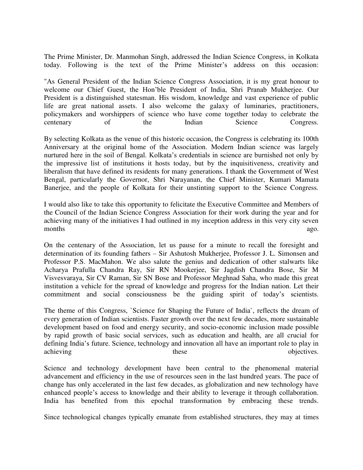The Prime Minister, Dr. Manmohan Singh, addressed the Indian Science Congress, in Kolkata today. Following is the text of the Prime Minister's address on this occasion:

"As General President of the Indian Science Congress Association, it is my great honour to welcome our Chief Guest, the Hon'ble President of India, Shri Pranab Mukherjee. Our President is a distinguished statesman. His wisdom, knowledge and vast experience of public life are great national assets. I also welcome the galaxy of luminaries, practitioners, policymakers and worshippers of science who have come together today to celebrate the centenary of the Indian Science Congress.

By selecting Kolkata as the venue of this historic occasion, the Congress is celebrating its 100th Anniversary at the original home of the Association. Modern Indian science was largely nurtured here in the soil of Bengal. Kolkata's credentials in science are burnished not only by the impressive list of institutions it hosts today, but by the inquisitiveness, creativity and liberalism that have defined its residents for many generations. I thank the Government of West Bengal, particularly the Governor, Shri Narayanan, the Chief Minister, Kumari Mamata Banerjee, and the people of Kolkata for their unstinting support to the Science Congress.

I would also like to take this opportunity to felicitate the Executive Committee and Members of the Council of the Indian Science Congress Association for their work during the year and for achieving many of the initiatives I had outlined in my inception address in this very city seven months ago.

On the centenary of the Association, let us pause for a minute to recall the foresight and determination of its founding fathers – Sir Ashutosh Mukherjee, Professor J. L. Simonsen and Professor P.S. MacMahon. We also salute the genius and dedication of other stalwarts like Acharya Prafulla Chandra Ray, Sir RN Mookerjee, Sir Jagdish Chandra Bose, Sir M Visvesvaraya, Sir CV Raman, Sir SN Bose and Professor Meghnad Saha, who made this great institution a vehicle for the spread of knowledge and progress for the Indian nation. Let their commitment and social consciousness be the guiding spirit of today's scientists.

The theme of this Congress, `Science for Shaping the Future of India`, reflects the dream of every generation of Indian scientists. Faster growth over the next few decades, more sustainable development based on food and energy security, and socio-economic inclusion made possible by rapid growth of basic social services, such as education and health, are all crucial for defining India's future. Science, technology and innovation all have an important role to play in achieving these objectives.

Science and technology development have been central to the phenomenal material advancement and efficiency in the use of resources seen in the last hundred years. The pace of change has only accelerated in the last few decades, as globalization and new technology have enhanced people's access to knowledge and their ability to leverage it through collaboration. India has benefited from this epochal transformation by embracing these trends.

Since technological changes typically emanate from established structures, they may at times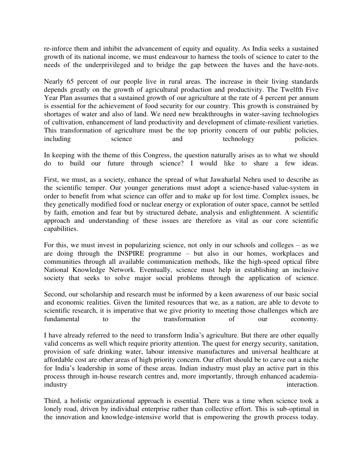re-inforce them and inhibit the advancement of equity and equality. As India seeks a sustained growth of its national income, we must endeavour to harness the tools of science to cater to the needs of the underprivileged and to bridge the gap between the haves and the have-nots.

Nearly 65 percent of our people live in rural areas. The increase in their living standards depends greatly on the growth of agricultural production and productivity. The Twelfth Five Year Plan assumes that a sustained growth of our agriculture at the rate of 4 percent per annum is essential for the achievement of food security for our country. This growth is constrained by shortages of water and also of land. We need new breakthroughs in water-saving technologies of cultivation, enhancement of land productivity and development of climate-resilient varieties. This transformation of agriculture must be the top priority concern of our public policies, including science and technology policies.

In keeping with the theme of this Congress, the question naturally arises as to what we should do to build our future through science? I would like to share a few ideas.

First, we must, as a society, enhance the spread of what Jawaharlal Nehru used to describe as the scientific temper. Our younger generations must adopt a science-based value-system in order to benefit from what science can offer and to make up for lost time. Complex issues, be they genetically modified food or nuclear energy or exploration of outer space, cannot be settled by faith, emotion and fear but by structured debate, analysis and enlightenment. A scientific approach and understanding of these issues are therefore as vital as our core scientific capabilities.

For this, we must invest in popularizing science, not only in our schools and colleges – as we are doing through the INSPIRE programme – but also in our homes, workplaces and communities through all available communication methods, like the high-speed optical fibre National Knowledge Network. Eventually, science must help in establishing an inclusive society that seeks to solve major social problems through the application of science.

Second, our scholarship and research must be informed by a keen awareness of our basic social and economic realities. Given the limited resources that we, as a nation, are able to devote to scientific research, it is imperative that we give priority to meeting those challenges which are fundamental to the transformation of our economy.

I have already referred to the need to transform India's agriculture. But there are other equally valid concerns as well which require priority attention. The quest for energy security, sanitation, provision of safe drinking water, labour intensive manufactures and universal healthcare at affordable cost are other areas of high priority concern. Our effort should be to carve out a niche for India's leadership in some of these areas. Indian industry must play an active part in this process through in-house research centres and, more importantly, through enhanced academiaindustry interaction.

Third, a holistic organizational approach is essential. There was a time when science took a lonely road, driven by individual enterprise rather than collective effort. This is sub-optimal in the innovation and knowledge-intensive world that is empowering the growth process today.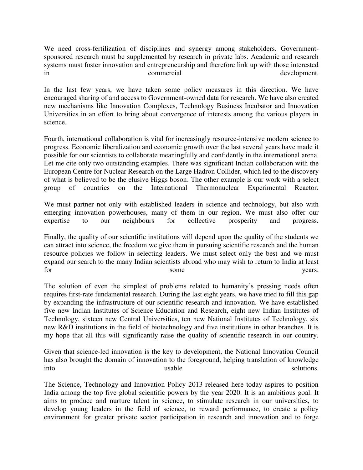We need cross-fertilization of disciplines and synergy among stakeholders. Governmentsponsored research must be supplemented by research in private labs. Academic and research systems must foster innovation and entrepreneurship and therefore link up with those interested in commercial commercial development.

In the last few years, we have taken some policy measures in this direction. We have encouraged sharing of and access to Government-owned data for research. We have also created new mechanisms like Innovation Complexes, Technology Business Incubator and Innovation Universities in an effort to bring about convergence of interests among the various players in science.

Fourth, international collaboration is vital for increasingly resource-intensive modern science to progress. Economic liberalization and economic growth over the last several years have made it possible for our scientists to collaborate meaningfully and confidently in the international arena. Let me cite only two outstanding examples. There was significant Indian collaboration with the European Centre for Nuclear Research on the Large Hadron Collider, which led to the discovery of what is believed to be the elusive Higgs boson. The other example is our work with a select group of countries on the International Thermonuclear Experimental Reactor. group of countries on the International Thermonuclear Experimental Reactor.

We must partner not only with established leaders in science and technology, but also with emerging innovation powerhouses, many of them in our region. We must also offer our expertise to our neighbours for collective prosperity and progress.

Finally, the quality of our scientific institutions will depend upon the quality of the students we can attract into science, the freedom we give them in pursuing scientific research and the human resource policies we follow in selecting leaders. We must select only the best and we must expand our search to the many Indian scientists abroad who may wish to return to India at least for some years.

The solution of even the simplest of problems related to humanity's pressing needs often requires first-rate fundamental research. During the last eight years, we have tried to fill this gap by expanding the infrastructure of our scientific research and innovation. We have established five new Indian Institutes of Science Education and Research, eight new Indian Institutes of Technology, sixteen new Central Universities, ten new National Institutes of Technology, six new R&D institutions in the field of biotechnology and five institutions in other branches. It is my hope that all this will significantly raise the quality of scientific research in our country.

Given that science-led innovation is the key to development, the National Innovation Council has also brought the domain of innovation to the foreground, helping translation of knowledge into usable solutions.

The Science, Technology and Innovation Policy 2013 released here today aspires to position India among the top five global scientific powers by the year 2020. It is an ambitious goal. It aims to produce and nurture talent in science, to stimulate research in our universities, to develop young leaders in the field of science, to reward performance, to create a policy environment for greater private sector participation in research and innovation and to forge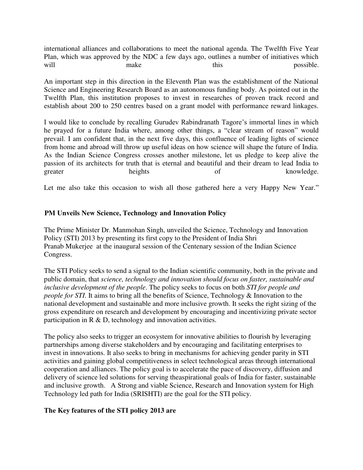international alliances and collaborations to meet the national agenda. The Twelfth Five Year Plan, which was approved by the NDC a few days ago, outlines a number of initiatives which will make make this possible.

An important step in this direction in the Eleventh Plan was the establishment of the National Science and Engineering Research Board as an autonomous funding body. As pointed out in the Twelfth Plan, this institution proposes to invest in researches of proven track record and establish about 200 to 250 centres based on a grant model with performance reward linkages.

I would like to conclude by recalling Gurudev Rabindranath Tagore's immortal lines in which he prayed for a future India where, among other things, a "clear stream of reason" would prevail. I am confident that, in the next five days, this confluence of leading lights of science from home and abroad will throw up useful ideas on how science will shape the future of India. As the Indian Science Congress crosses another milestone, let us pledge to keep alive the passion of its architects for truth that is eternal and beautiful and their dream to lead India to greater heights being heights of knowledge.

Let me also take this occasion to wish all those gathered here a very Happy New Year."

#### **PM Unveils New Science, Technology and Innovation Policy**

The Prime Minister Dr. Manmohan Singh, unveiled the Science, Technology and Innovation Policy (STI) 2013 by presenting its first copy to the President of India Shri Pranab Mukerjee at the inaugural session of the Centenary session of the Indian Science Congress.

The STI Policy seeks to send a signal to the Indian scientific community, both in the private and public domain, that *science, technology and innovation should focus on faster, sustainable and inclusive development of the people*. The policy seeks to focus on both *STI for people and people for STI*. It aims to bring all the benefits of Science, Technology & Innovation to the national development and sustainable and more inclusive growth. It seeks the right sizing of the gross expenditure on research and development by encouraging and incentivizing private sector participation in  $R \& D$ , technology and innovation activities.

The policy also seeks to trigger an ecosystem for innovative abilities to flourish by leveraging partnerships among diverse stakeholders and by encouraging and facilitating enterprises to invest in innovations. It also seeks to bring in mechanisms for achieving gender parity in STI activities and gaining global competitiveness in select technological areas through international cooperation and alliances. The policy goal is to accelerate the pace of discovery, diffusion and delivery of science led solutions for serving theaspirational goals of India for faster, sustainable and inclusive growth. A Strong and viable Science, Research and Innovation system for High Technology led path for India (SRISHTI) are the goal for the STI policy.

#### **The Key features of the STI policy 2013 are**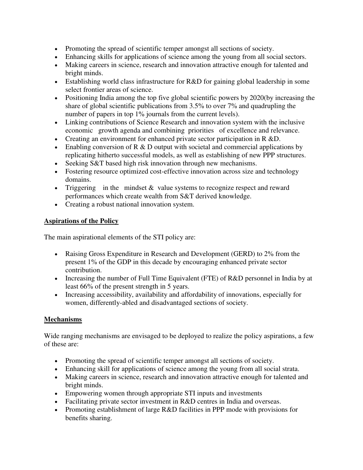- Promoting the spread of scientific temper amongst all sections of society.
- Enhancing skills for applications of science among the young from all social sectors.
- Making careers in science, research and innovation attractive enough for talented and bright minds.
- Establishing world class infrastructure for R&D for gaining global leadership in some select frontier areas of science.
- Positioning India among the top five global scientific powers by 2020(by increasing the share of global scientific publications from 3.5% to over 7% and quadrupling the number of papers in top 1% journals from the current levels).
- Linking contributions of Science Research and innovation system with the inclusive economic growth agenda and combining priorities of excellence and relevance.
- Creating an environment for enhanced private sector participation in R &D.
- Enabling conversion of  $R \& D$  output with societal and commercial applications by replicating hitherto successful models, as well as establishing of new PPP structures.
- Seeking S&T based high risk innovation through new mechanisms.
- Fostering resource optimized cost-effective innovation across size and technology domains.
- Triggering in the mindset  $\&$  value systems to recognize respect and reward performances which create wealth from S&T derived knowledge.
- Creating a robust national innovation system.

# **Aspirations of the Policy**

The main aspirational elements of the STI policy are:

- Raising Gross Expenditure in Research and Development (GERD) to 2% from the present 1% of the GDP in this decade by encouraging enhanced private sector contribution.
- Increasing the number of Full Time Equivalent (FTE) of R&D personnel in India by at least 66% of the present strength in 5 years.
- Increasing accessibility, availability and affordability of innovations, especially for women, differently-abled and disadvantaged sections of society.

# **Mechanisms**

Wide ranging mechanisms are envisaged to be deployed to realize the policy aspirations, a few of these are:

- Promoting the spread of scientific temper amongst all sections of society.
- Enhancing skill for applications of science among the young from all social strata.
- Making careers in science, research and innovation attractive enough for talented and bright minds.
- Empowering women through appropriate STI inputs and investments
- Facilitating private sector investment in R&D centres in India and overseas.
- Promoting establishment of large R&D facilities in PPP mode with provisions for benefits sharing.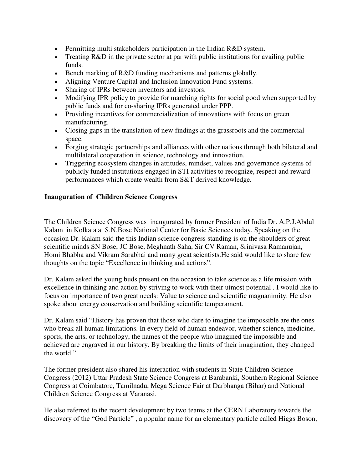- Permitting multi stakeholders participation in the Indian R&D system.
- Treating R&D in the private sector at par with public institutions for availing public funds.
- Bench marking of R&D funding mechanisms and patterns globally.
- Aligning Venture Capital and Inclusion Innovation Fund systems.
- Sharing of IPRs between inventors and investors.
- Modifying IPR policy to provide for marching rights for social good when supported by public funds and for co-sharing IPRs generated under PPP.
- Providing incentives for commercialization of innovations with focus on green manufacturing.
- Closing gaps in the translation of new findings at the grassroots and the commercial space.
- Forging strategic partnerships and alliances with other nations through both bilateral and multilateral cooperation in science, technology and innovation.
- Triggering ecosystem changes in attitudes, mindset, values and governance systems of publicly funded institutions engaged in STI activities to recognize, respect and reward performances which create wealth from S&T derived knowledge.

## **Inauguration of Children Science Congress**

The Children Science Congress was inaugurated by former President of India Dr. A.P.J.Abdul Kalam in Kolkata at S.N.Bose National Center for Basic Sciences today. Speaking on the occasion Dr. Kalam said the this Indian science congress standing is on the shoulders of great scientific minds SN Bose, JC Bose, Meghnath Saha, Sir CV Raman, Srinivasa Ramanujan, Homi Bhabha and Vikram Sarabhai and many great scientists.He said would like to share few thoughts on the topic "Excellence in thinking and actions".

Dr. Kalam asked the young buds present on the occasion to take science as a life mission with excellence in thinking and action by striving to work with their utmost potential . I would like to focus on importance of two great needs: Value to science and scientific magnanimity. He also spoke about energy conservation and building scientific temperament.

Dr. Kalam said "History has proven that those who dare to imagine the impossible are the ones who break all human limitations. In every field of human endeavor, whether science, medicine, sports, the arts, or technology, the names of the people who imagined the impossible and achieved are engraved in our history. By breaking the limits of their imagination, they changed the world."

The former president also shared his interaction with students in State Children Science Congress (2012) Uttar Pradesh State Science Congress at Barabanki, Southern Regional Science Congress at Coimbatore, Tamilnadu, Mega Science Fair at Darbhanga (Bihar) and National Children Science Congress at Varanasi.

He also referred to the recent development by two teams at the CERN Laboratory towards the discovery of the "God Particle" , a popular name for an elementary particle called Higgs Boson,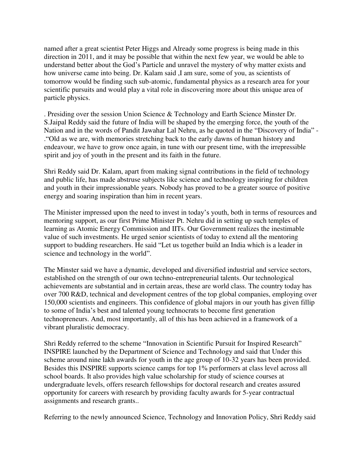named after a great scientist Peter Higgs and Already some progress is being made in this direction in 2011, and it may be possible that within the next few year, we would be able to understand better about the God's Particle and unravel the mystery of why matter exists and how universe came into being. Dr. Kalam said ,I am sure, some of you, as scientists of tomorrow would be finding such sub-atomic, fundamental physics as a research area for your scientific pursuits and would play a vital role in discovering more about this unique area of particle physics.

. Presiding over the session Union Science & Technology and Earth Science Minster Dr. S.Jaipal Reddy said the future of India will be shaped by the emerging force, the youth of the Nation and in the words of Pandit Jawahar Lal Nehru, as he quoted in the "Discovery of India" - ."Old as we are, with memories stretching back to the early dawns of human history and endeavour, we have to grow once again, in tune with our present time, with the irrepressible spirit and joy of youth in the present and its faith in the future.

Shri Reddy said Dr. Kalam, apart from making signal contributions in the field of technology and public life, has made abstruse subjects like science and technology inspiring for children and youth in their impressionable years. Nobody has proved to be a greater source of positive energy and soaring inspiration than him in recent years.

The Minister impressed upon the need to invest in today's youth, both in terms of resources and mentoring support, as our first Prime Minister Pt. Nehru did in setting up such temples of learning as Atomic Energy Commission and IITs. Our Government realizes the inestimable value of such investments. He urged senior scientists of today to extend all the mentoring support to budding researchers. He said "Let us together build an India which is a leader in science and technology in the world".

The Minster said we have a dynamic, developed and diversified industrial and service sectors, established on the strength of our own techno-entrepreneurial talents. Our technological achievements are substantial and in certain areas, these are world class. The country today has over 700 R&D, technical and development centres of the top global companies, employing over 150,000 scientists and engineers. This confidence of global majors in our youth has given fillip to some of India's best and talented young technocrats to become first generation technopreneurs. And, most importantly, all of this has been achieved in a framework of a vibrant pluralistic democracy.

Shri Reddy referred to the scheme "Innovation in Scientific Pursuit for Inspired Research" INSPIRE launched by the Department of Science and Technology and said that Under this scheme around nine lakh awards for youth in the age group of 10-32 years has been provided. Besides this INSPIRE supports science camps for top 1% performers at class level across all school boards. It also provides high value scholarship for study of science courses at undergraduate levels, offers research fellowships for doctoral research and creates assured opportunity for careers with research by providing faculty awards for 5-year contractual assignments and research grants..

Referring to the newly announced Science, Technology and Innovation Policy, Shri Reddy said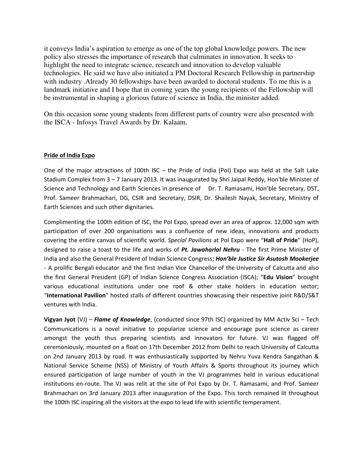it conveys India's aspiration to emerge as one of the top global knowledge powers. The new policy also stresses the importance of research that culminates in innovation. It seeks to highlight the need to integrate science, research and innovation to develop valuable technologies. He said we have also initiated a PM Doctoral Research Fellowship in partnership with industry .Already 30 fellowships have been awarded to doctoral students. To me this is a landmark initiative and I hope that in coming years the young recipients of the Fellowship will be instrumental in shaping a glorious future of science in India, the minister added.

On this occasion some young students from different parts of country were also presented with the ISCA - Infosys Travel Awards by Dr. Kalaam.

#### **Pride of India Expo**

One of the major attractions of 100th ISC – the Pride of India (PoI) Expo was held at the Salt Lake Stadium Complex from 3 – 7 January 2013. It was inaugurated by Shri Jaipal Reddy, Hon'ble Minister of Science and Technology and Earth Sciences in presence of Dr. T. Ramasami, Hon'ble Secretary, DST, Prof. Sameer Brahmachari, DG, CSIR and Secretary, DSIR, Dr. Shailesh Nayak, Secretary, Ministry of Earth Sciences and such other dignitaries.

Complimenting the 100th edition of ISC, the PoI Expo, spread over an area of approx. 12,000 sqm with participation of over 200 organisations was a confluence of new ideas, innovations and products covering the entire canvas of scientific world. *Special Pavilions* at PoI Expo were "**Hall of Pride**" (HoP), designed to raise a toast to the life and works of *Pt. Jawaharlal Nehru* - The first Prime Minister of India and also the General President of Indian Science Congress; *Hon'ble Justice Sir Asutosh Mookerjee* - A prolific [Bengali](http://en.wikipedia.org/wiki/Bengali_people) educator and the first Indian Vice Chancellor of the University of Calcutta and also the first General President (GP) of Indian Science Congress Association (ISCA); "Edu Vision" brought various educational institutions under one roof & other stake holders in education sector; ͞**International Pavilion**͟ hosted stalls of different countries showcasing their respective joint R&D/S&T ventures with India.

**Vigyan Jyot** (VJ) – *Flame of Knowledge*, (conducted since 97th ISC) organized by MM Activ Sci – Tech Communications is a novel initiative to popularize science and encourage pure science as career amongst the youth thus preparing scientists and innovators for future. VJ was flagged off ceremoniously, mounted on a float on 17th December 2012 from Delhi to reach University of Calcutta on 2nd January 2013 by road. It was enthusiastically supported by Nehru Yuva Kendra Sangathan & National Service Scheme (NSS) of Ministry of Youth Affairs & Sports throughout its journey which ensured participation of large number of youth in the VJ programmes held in various educational institutions en-route. The VJ was relit at the site of PoI Expo by Dr. T. Ramasami, and Prof. Sameer Brahmachari on 3rd January 2013 after inauguration of the Expo. This torch remained lit throughout the 100th ISC inspiring all the visitors at the expo to lead life with scientific temperament.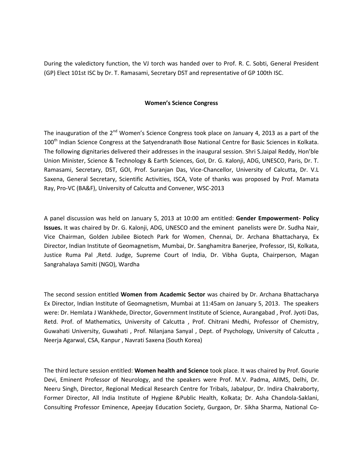During the valedictory function, the VJ torch was handed over to Prof. R. C. Sobti, General President (GP) Elect 101st ISC by Dr. T. Ramasami, Secretary DST and representative of GP 100th ISC.

#### **Women's Science Congress**

The inauguration of the 2<sup>nd</sup> Women's Science Congress took place on January 4, 2013 as a part of the 100<sup>th</sup> Indian Science Congress at the Satyendranath Bose National Centre for Basic Sciences in Kolkata. The following dignitaries delivered their addresses in the inaugural session. Shri S.Jaipal Reddy, Hon'ble Union Minister, Science & Technology & Earth Sciences, GoI, Dr. G. Kalonji, ADG, UNESCO, Paris, Dr. T. Ramasami, Secretary, DST, GOI, Prof. Suranjan Das, Vice-Chancellor, University of Calcutta, Dr. V.L Saxena, General Secretary, Scientific Activities, ISCA, Vote of thanks was proposed by Prof. Mamata Ray, Pro-VC (BA&F), University of Calcutta and Convener, WSC-2013

A panel discussion was held on January 5, 2013 at 10:00 am entitled: **Gender Empowerment- Policy Issues.** It was chaired by Dr. G. Kalonji, ADG, UNESCO and the eminent panelists were Dr. Sudha Nair, Vice Chairman, Golden Jubilee Biotech Park for Women, Chennai, Dr. Archana Bhattacharya, Ex Director, Indian Institute of Geomagnetism, Mumbai, Dr. Sanghamitra Banerjee, Professor, ISI, Kolkata, Justice Ruma Pal ,Retd. Judge, Supreme Court of India, Dr. Vibha Gupta, Chairperson, Magan Sangrahalaya Samiti (NGO), Wardha

The second session entitled **Women from Academic Sector** was chaired by Dr. Archana Bhattacharya Ex Director, Indian Institute of Geomagnetism, Mumbai at 11:45am on January 5, 2013. The speakers were: Dr. Hemlata J Wankhede, Director, Government Institute of Science, Aurangabad , Prof. Jyoti Das, Retd. Prof. of Mathematics, University of Calcutta , Prof. Chitrani Medhi, Professor of Chemistry, Guwahati University, Guwahati , Prof. Nilanjana Sanyal , Dept. of Psychology, University of Calcutta , Neerja Agarwal, CSA, Kanpur , Navrati Saxena (South Korea)

The third lecture session entitled: **Women health and Science** took place. It was chaired by Prof. Gourie Devi, Eminent Professor of Neurology, and the speakers were Prof. M.V. Padma, AIIMS, Delhi, Dr. Neeru Singh, Director, Regional Medical Research Centre for Tribals, Jabalpur, Dr. Indira Chakraborty, Former Director, All India Institute of Hygiene &Public Health, Kolkata; Dr. Asha Chandola-Saklani, Consulting Professor Eminence, Apeejay Education Society, Gurgaon, Dr. Sikha Sharma, National Co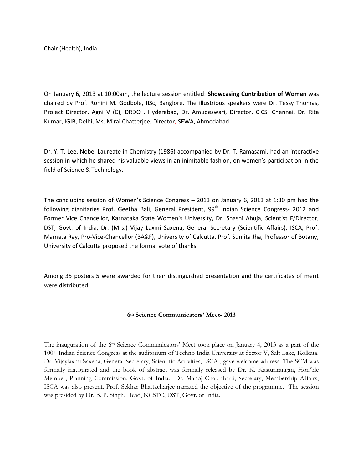Chair (Health), India

On January 6, 2013 at 10:00am, the lecture session entitled: **Showcasing Contribution of Women** was chaired by Prof. Rohini M. Godbole, IISc, Banglore. The illustrious speakers were Dr. Tessy Thomas, Project Director, Agni V (C), DRDO , Hyderabad, Dr. Amudeswari, Director, CICS, Chennai, Dr. Rita Kumar, IGIB, Delhi, Ms. Mirai Chatterjee, Director, SEWA, Ahmedabad

Dr. Y. T. Lee, Nobel Laureate in Chemistry (1986) accompanied by Dr. T. Ramasami, had an interactive session in which he shared his valuable views in an inimitable fashion, on women's participation in the field of Science & Technology.

The concluding session of Women's Science Congress – 2013 on January 6, 2013 at 1:30 pm had the following dignitaries Prof. Geetha Bali, General President, 99<sup>th</sup> Indian Science Congress- 2012 and Former Vice Chancellor, Karnataka State Women's University, Dr. Shashi Ahuja, Scientist F/Director, DST, Govt. of India, Dr. (Mrs.) Vijay Laxmi Saxena, General Secretary (Scientific Affairs), ISCA, Prof. Mamata Ray, Pro-Vice-Chancellor (BA&F), University of Calcutta. Prof. Sumita Jha, Professor of Botany, University of Calcutta proposed the formal vote of thanks

Among 35 posters 5 were awarded for their distinguished presentation and the certificates of merit were distributed.

#### **6th Science Communicators' Meet- 2013**

The inauguration of the 6th Science Communicators' Meet took place on January 4, 2013 as a part of the 100th Indian Science Congress at the auditorium of Techno India University at Sector V, Salt Lake, Kolkata. Dr. Vijaylaxmi Saxena, General Secretary, Scientific Activities, ISCA , gave welcome address. The SCM was formally inaugurated and the book of abstract was formally released by Dr. K. Kasturirangan, Hon'ble Member, Planning Commission, Govt. of India. Dr. Manoj Chakrabarti, Secretary, Membership Affairs, ISCA was also present. Prof. Sekhar Bhattacharjee narrated the objective of the programme. The session was presided by Dr. B. P. Singh, Head, NCSTC, DST, Govt. of India.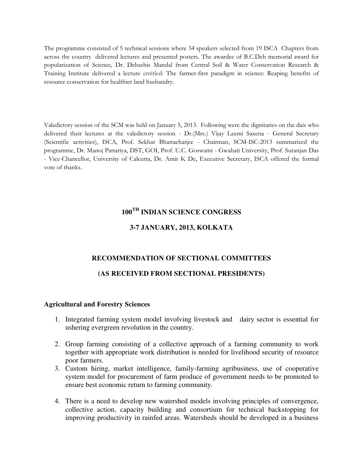The programme consisted of 5 technical sessions where 34 speakers selected from 19 ISCA Chapters from across the country delivered lectures and presented posters. The awardee of B.C.Deb memorial award for popularization of Science, Dr. Debashis Mandal from Central Soil & Water Conservation Research & Training Institute delivered a lecture entitled: The farmer-first paradigm in science: Reaping benefits of resource conservation for healthier land husbandry.

Valedictory session of the SCM was held on January 5, 2013. Following were the dignitaries on the dais who delivered their lectures at the valedictory session - Dr.(Mrs.) Vijay Laxmi Saxena - General Secretary (Scientific activities), ISCA, Prof. Sekhar Bhattacharjee - Chairman, SCM-ISC-2013 summarized the programme, Dr. Manoj Pattariya, DST, GOI, Prof. U.C. Goswami - Gwahati University, Prof. Suranjan Das - Vice-Chancellor, University of Calcutta, Dr. Amit K De, Executive Secretary, ISCA offered the formal vote of thanks.

# **100TH INDIAN SCIENCE CONGRESS**

## **3-7 JANUARY, 2013, KOLKATA**

## **RECOMMENDATION OF SECTIONAL COMMITTEES**

## **(AS RECEIVED FROM SECTIONAL PRESIDENTS)**

#### **Agricultural and Forestry Sciences**

- 1. Integrated farming system model involving livestock and dairy sector is essential for ushering evergreen revolution in the country.
- 2. Group farming consisting of a collective approach of a farming community to work together with appropriate work distribution is needed for livelihood security of resource poor farmers.
- 3. Custom hiring, market intelligence, family-farming agribusiness, use of cooperative system model for procurement of farm produce of government needs to be promoted to ensure best economic return to farming community.
- 4. There is a need to develop new watershed models involving principles of convergence, collective action, capacity building and consortium for technical backstopping for improving productivity in rainfed areas. Watersheds should be developed in a business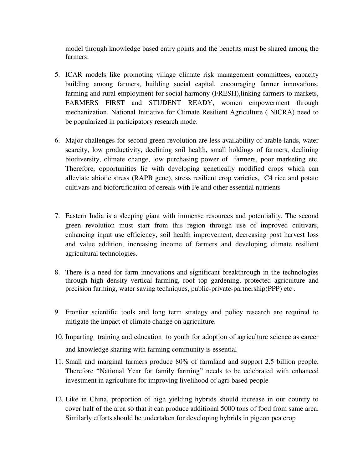model through knowledge based entry points and the benefits must be shared among the farmers.

- 5. ICAR models like promoting village climate risk management committees, capacity building among farmers, building social capital, encouraging farmer innovations, farming and rural employment for social harmony (FRESH),linking farmers to markets, FARMERS FIRST and STUDENT READY, women empowerment through mechanization, National Initiative for Climate Resilient Agriculture ( NICRA) need to be popularized in participatory research mode.
- 6. Major challenges for second green revolution are less availability of arable lands, water scarcity, low productivity, declining soil health, small holdings of farmers, declining biodiversity, climate change, low purchasing power of farmers, poor marketing etc. Therefore, opportunities lie with developing genetically modified crops which can alleviate abiotic stress (RAPB gene), stress resilient crop varieties, C4 rice and potato cultivars and biofortification of cereals with Fe and other essential nutrients
- 7. Eastern India is a sleeping giant with immense resources and potentiality. The second green revolution must start from this region through use of improved cultivars, enhancing input use efficiency, soil health improvement, decreasing post harvest loss and value addition, increasing income of farmers and developing climate resilient agricultural technologies.
- 8. There is a need for farm innovations and significant breakthrough in the technologies through high density vertical farming, roof top gardening, protected agriculture and precision farming, water saving techniques, public-private-partnership(PPP) etc .
- 9. Frontier scientific tools and long term strategy and policy research are required to mitigate the impact of climate change on agriculture.
- 10. Imparting training and education to youth for adoption of agriculture science as career and knowledge sharing with farming community is essential
- 11. Small and marginal farmers produce 80% of farmland and support 2.5 billion people. Therefore "National Year for family farming" needs to be celebrated with enhanced investment in agriculture for improving livelihood of agri-based people
- 12. Like in China, proportion of high yielding hybrids should increase in our country to cover half of the area so that it can produce additional 5000 tons of food from same area. Similarly efforts should be undertaken for developing hybrids in pigeon pea crop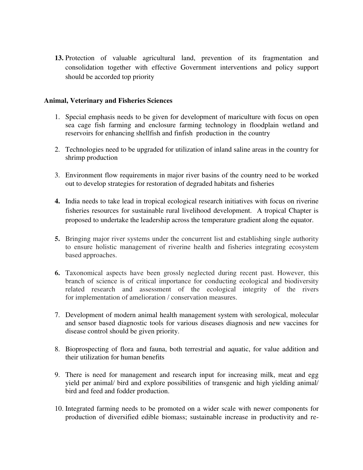**13.** Protection of valuable agricultural land, prevention of its fragmentation and consolidation together with effective Government interventions and policy support should be accorded top priority

#### **Animal, Veterinary and Fisheries Sciences**

- 1. Special emphasis needs to be given for development of mariculture with focus on open sea cage fish farming and enclosure farming technology in floodplain wetland and reservoirs for enhancing shellfish and finfish production in the country
- 2. Technologies need to be upgraded for utilization of inland saline areas in the country for shrimp production
- 3. Environment flow requirements in major river basins of the country need to be worked out to develop strategies for restoration of degraded habitats and fisheries
- **4.** India needs to take lead in tropical ecological research initiatives with focus on riverine fisheries resources for sustainable rural livelihood development. A tropical Chapter is proposed to undertake the leadership across the temperature gradient along the equator.
- **5.** Bringing major river systems under the concurrent list and establishing single authority to ensure holistic management of riverine health and fisheries integrating ecosystem based approaches.
- **6.** Taxonomical aspects have been grossly neglected during recent past. However, this branch of science is of critical importance for conducting ecological and biodiversity related research and assessment of the ecological integrity of the rivers for implementation of amelioration / conservation measures.
- 7. Development of modern animal health management system with serological, molecular and sensor based diagnostic tools for various diseases diagnosis and new vaccines for disease control should be given priority.
- 8. Bioprospecting of flora and fauna, both terrestrial and aquatic, for value addition and their utilization for human benefits
- 9. There is need for management and research input for increasing milk, meat and egg yield per animal/ bird and explore possibilities of transgenic and high yielding animal/ bird and feed and fodder production.
- 10. Integrated farming needs to be promoted on a wider scale with newer components for production of diversified edible biomass; sustainable increase in productivity and re-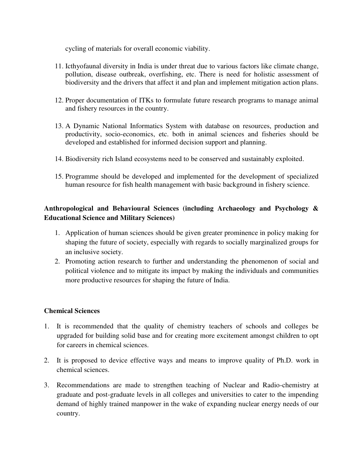cycling of materials for overall economic viability.

- 11. Icthyofaunal diversity in India is under threat due to various factors like climate change, pollution, disease outbreak, overfishing, etc. There is need for holistic assessment of biodiversity and the drivers that affect it and plan and implement mitigation action plans.
- 12. Proper documentation of ITKs to formulate future research programs to manage animal and fishery resources in the country.
- 13. A Dynamic National Informatics System with database on resources, production and productivity, socio-economics, etc. both in animal sciences and fisheries should be developed and established for informed decision support and planning.
- 14. Biodiversity rich Island ecosystems need to be conserved and sustainably exploited.
- 15. Programme should be developed and implemented for the development of specialized human resource for fish health management with basic background in fishery science.

# **Anthropological and Behavioural Sciences (including Archaeology and Psychology & Educational Science and Military Sciences)**

- 1. Application of human sciences should be given greater prominence in policy making for shaping the future of society, especially with regards to socially marginalized groups for an inclusive society.
- 2. Promoting action research to further and understanding the phenomenon of social and political violence and to mitigate its impact by making the individuals and communities more productive resources for shaping the future of India.

# **Chemical Sciences**

- 1. It is recommended that the quality of chemistry teachers of schools and colleges be upgraded for building solid base and for creating more excitement amongst children to opt for careers in chemical sciences.
- 2. It is proposed to device effective ways and means to improve quality of Ph.D. work in chemical sciences.
- 3. Recommendations are made to strengthen teaching of Nuclear and Radio-chemistry at graduate and post-graduate levels in all colleges and universities to cater to the impending demand of highly trained manpower in the wake of expanding nuclear energy needs of our country.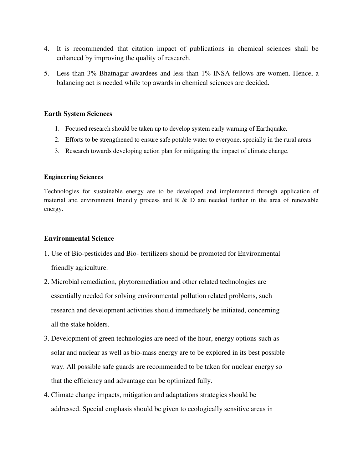- 4. It is recommended that citation impact of publications in chemical sciences shall be enhanced by improving the quality of research.
- 5. Less than 3% Bhatnagar awardees and less than 1% INSA fellows are women. Hence, a balancing act is needed while top awards in chemical sciences are decided.

#### **Earth System Sciences**

- 1. Focused research should be taken up to develop system early warning of Earthquake.
- 2. Efforts to be strengthened to ensure safe potable water to everyone, specially in the rural areas
- 3. Research towards developing action plan for mitigating the impact of climate change.

#### **Engineering Sciences**

Technologies for sustainable energy are to be developed and implemented through application of material and environment friendly process and  $R \& D$  are needed further in the area of renewable energy.

## **Environmental Science**

- 1. Use of Bio-pesticides and Bio- fertilizers should be promoted for Environmental friendly agriculture.
- 2. Microbial remediation, phytoremediation and other related technologies are essentially needed for solving environmental pollution related problems, such research and development activities should immediately be initiated, concerning all the stake holders.
- 3. Development of green technologies are need of the hour, energy options such as solar and nuclear as well as bio-mass energy are to be explored in its best possible way. All possible safe guards are recommended to be taken for nuclear energy so that the efficiency and advantage can be optimized fully.
- 4. Climate change impacts, mitigation and adaptations strategies should be addressed. Special emphasis should be given to ecologically sensitive areas in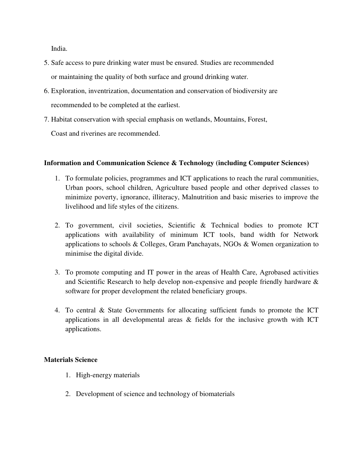India.

- 5. Safe access to pure drinking water must be ensured. Studies are recommended or maintaining the quality of both surface and ground drinking water.
- 6. Exploration, inventrization, documentation and conservation of biodiversity are recommended to be completed at the earliest.
- 7. Habitat conservation with special emphasis on wetlands, Mountains, Forest,

Coast and riverines are recommended.

## **Information and Communication Science & Technology (including Computer Sciences)**

- 1. To formulate policies, programmes and ICT applications to reach the rural communities, Urban poors, school children, Agriculture based people and other deprived classes to minimize poverty, ignorance, illiteracy, Malnutrition and basic miseries to improve the livelihood and life styles of the citizens.
- 2. To government, civil societies, Scientific & Technical bodies to promote ICT applications with availability of minimum ICT tools, band width for Network applications to schools & Colleges, Gram Panchayats, NGOs & Women organization to minimise the digital divide.
- 3. To promote computing and IT power in the areas of Health Care, Agrobased activities and Scientific Research to help develop non-expensive and people friendly hardware & software for proper development the related beneficiary groups.
- 4. To central & State Governments for allocating sufficient funds to promote the ICT applications in all developmental areas  $\&$  fields for the inclusive growth with ICT applications.

## **Materials Science**

- 1. High-energy materials
- 2. Development of science and technology of biomaterials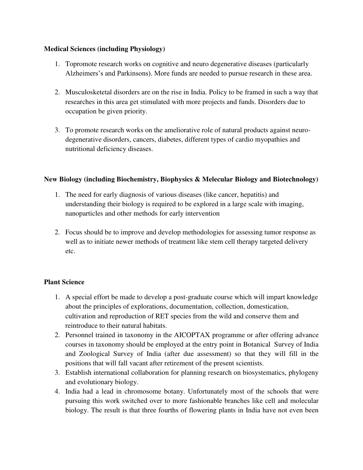# **Medical Sciences (including Physiology)**

- 1. Topromote research works on cognitive and neuro degenerative diseases (particularly Alzheimers's and Parkinsons). More funds are needed to pursue research in these area.
- 2. Musculosketetal disorders are on the rise in India. Policy to be framed in such a way that researches in this area get stimulated with more projects and funds. Disorders due to occupation be given priority.
- 3. To promote research works on the ameliorative role of natural products against neurodegenerative disorders, cancers, diabetes, different types of cardio myopathies and nutritional deficiency diseases.

## **New Biology (including Biochemistry, Biophysics & Melecular Biology and Biotechnology)**

- 1. The need for early diagnosis of various diseases (like cancer, hepatitis) and understanding their biology is required to be explored in a large scale with imaging, nanoparticles and other methods for early intervention
- 2. Focus should be to improve and develop methodologies for assessing tumor response as well as to initiate newer methods of treatment like stem cell therapy targeted delivery etc.

# **Plant Science**

- 1. A special effort be made to develop a post-graduate course which will impart knowledge about the principles of explorations, documentation, collection, domestication, cultivation and reproduction of RET species from the wild and conserve them and reintroduce to their natural habitats.
- 2. Personnel trained in taxonomy in the AICOPTAX programme or after offering advance courses in taxonomy should be employed at the entry point in Botanical Survey of India and Zoological Survey of India (after due assessment) so that they will fill in the positions that will fall vacant after retirement of the present scientists.
- 3. Establish international collaboration for planning research on biosystematics, phylogeny and evolutionary biology.
- 4. India had a lead in chromosome botany. Unfortunately most of the schools that were pursuing this work switched over to more fashionable branches like cell and molecular biology. The result is that three fourths of flowering plants in India have not even been